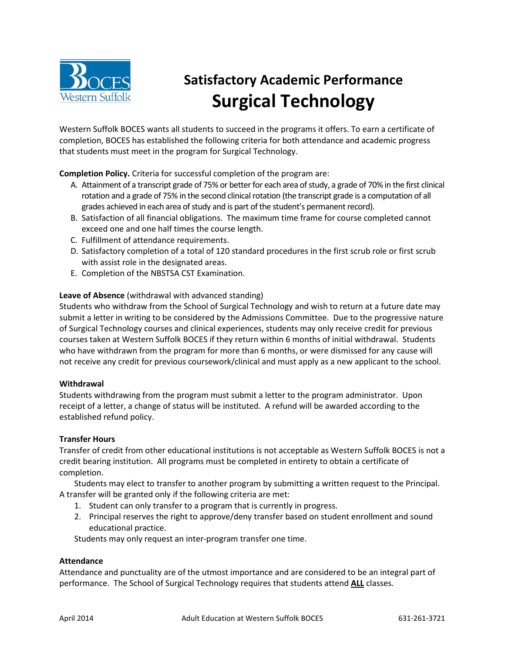

# **Satisfactory Academic Performance Surgical Technology**

Western Suffolk BOCES wants all students to succeed in the programs it offers. To earn a certificate of completion, BOCES has established the following criteria for both attendance and academic progress that students must meet in the program for Surgical Technology.

**Completion Policy.** Criteria for successful completion of the program are:

- A. Attainment of a transcript grade of 75% or better for each area of study, a grade of 70% in the first clinical rotation and a grade of 75% in the second clinical rotation (the transcript grade is a computation of all grades achieved in each area of study and is part of the student's permanent record).
- B. Satisfaction of all financial obligations. The maximum time frame for course completed cannot exceed one and one half times the course length.
- C. Fulfillment of attendance requirements.
- D. Satisfactory completion of a total of 120 standard procedures in the first scrub role or first scrub with assist role in the designated areas.
- E. Completion of the NBSTSA CST Examination.

## **Leave of Absence** (withdrawal with advanced standing)

Students who withdraw from the School of Surgical Technology and wish to return at a future date may submit a letter in writing to be considered by the Admissions Committee. Due to the progressive nature of Surgical Technology courses and clinical experiences, students may only receive credit for previous courses taken at Western Suffolk BOCES if they return within 6 months of initial withdrawal. Students who have withdrawn from the program for more than 6 months, or were dismissed for any cause will not receive any credit for previous coursework/clinical and must apply as a new applicant to the school.

#### **Withdrawal**

Students withdrawing from the program must submit a letter to the program administrator. Upon receipt of a letter, a change of status will be instituted. A refund will be awarded according to the established refund policy.

## **Transfer Hours**

Transfer of credit from other educational institutions is not acceptable as Western Suffolk BOCES is not a credit bearing institution. All programs must be completed in entirety to obtain a certificate of completion.

Students may elect to transfer to another program by submitting a written request to the Principal. A transfer will be granted only if the following criteria are met:

- 1. Student can only transfer to a program that is currently in progress.
- 2. Principal reserves the right to approve/deny transfer based on student enrollment and sound educational practice.

Students may only request an inter-program transfer one time.

#### **Attendance**

Attendance and punctuality are of the utmost importance and are considered to be an integral part of performance. The School of Surgical Technology requires that students attend **ALL** classes.